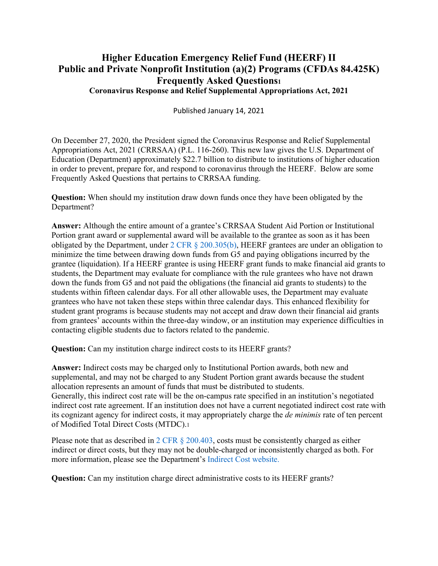## **Higher Education Emergency Relief Fund (HEERF) II Public and Private Nonprofit Institution (a)(2) Programs (CFDAs 84.425K) Frequently Asked Questions1 Coronavirus Response and Relief Supplemental Appropriations Act, 2021**

Published January 14, 2021

On December 27, 2020, the President signed the Coronavirus Response and Relief Supplemental Appropriations Act, 2021 (CRRSAA) (P.L. 116-260). This new law gives the U.S. Department of Education (Department) approximately \$22.7 billion to distribute to institutions of higher education in order to prevent, prepare for, and respond to coronavirus through the HEERF. Below are some Frequently Asked Questions that pertains to CRRSAA funding.

**Question:** When should my institution draw down funds once they have been obligated by the Department?

**Answer:** Although the entire amount of a grantee's CRRSAA Student Aid Portion or Institutional Portion grant award or supplemental award will be available to the grantee as soon as it has been obligated by the Department, under 2 CFR § 200.305(b), HEERF grantees are under an obligation to minimize the time between drawing down funds from G5 and paying obligations incurred by the grantee (liquidation). If a HEERF grantee is using HEERF grant funds to make financial aid grants to students, the Department may evaluate for compliance with the rule grantees who have not drawn down the funds from G5 and not paid the obligations (the financial aid grants to students) to the students within fifteen calendar days. For all other allowable uses, the Department may evaluate grantees who have not taken these steps within three calendar days. This enhanced flexibility for student grant programs is because students may not accept and draw down their financial aid grants from grantees' accounts within the three-day window, or an institution may experience difficulties in contacting eligible students due to factors related to the pandemic.

**Question:** Can my institution charge indirect costs to its HEERF grants?

**Answer:** Indirect costs may be charged only to Institutional Portion awards, both new and supplemental, and may not be charged to any Student Portion grant awards because the student allocation represents an amount of funds that must be distributed to students. Generally, this indirect cost rate will be the on-campus rate specified in an institution's negotiated indirect cost rate agreement. If an institution does not have a current negotiated indirect cost rate with its cognizant agency for indirect costs, it may appropriately charge the *de minimis* rate of ten percent of Modified Total Direct Costs (MTDC).1

Please note that as described in 2 CFR § 200.403, costs must be consistently charged as either indirect or direct costs, but they may not be double-charged or inconsistently charged as both. For more information, please see the Department's Indirect Cost website.

**Question:** Can my institution charge direct administrative costs to its HEERF grants?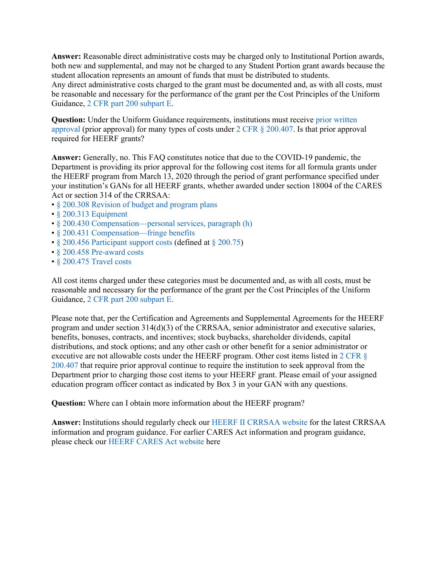**Answer:** Reasonable direct administrative costs may be charged only to Institutional Portion awards, both new and supplemental, and may not be charged to any Student Portion grant awards because the student allocation represents an amount of funds that must be distributed to students.

Any direct administrative costs charged to the grant must be documented and, as with all costs, must be reasonable and necessary for the performance of the grant per the Cost Principles of the Uniform Guidance, 2 CFR part 200 subpart E.

**Question:** Under the Uniform Guidance requirements, institutions must receive prior written approval (prior approval) for many types of costs under 2 CFR § 200.407. Is that prior approval required for HEERF grants?

**Answer:** Generally, no. This FAQ constitutes notice that due to the COVID-19 pandemic, the Department is providing its prior approval for the following cost items for all formula grants under the HEERF program from March 13, 2020 through the period of grant performance specified under your institution's GANs for all HEERF grants, whether awarded under section 18004 of the CARES Act or section 314 of the CRRSAA:

- § 200.308 Revision of budget and program plans
- § 200.313 Equipment
- § 200.430 Compensation—personal services, paragraph (h)
- § 200.431 Compensation—fringe benefits
- § 200.456 Participant support costs (defined at § 200.75)
- § 200.458 Pre-award costs
- § 200.475 Travel costs

All cost items charged under these categories must be documented and, as with all costs, must be reasonable and necessary for the performance of the grant per the Cost Principles of the Uniform Guidance, 2 CFR part 200 subpart E.

Please note that, per the Certification and Agreements and Supplemental Agreements for the HEERF program and under section 314(d)(3) of the CRRSAA, senior administrator and executive salaries, benefits, bonuses, contracts, and incentives; stock buybacks, shareholder dividends, capital distributions, and stock options; and any other cash or other benefit for a senior administrator or executive are not allowable costs under the HEERF program. Other cost items listed in 2 CFR § 200.407 that require prior approval continue to require the institution to seek approval from the Department prior to charging those cost items to your HEERF grant. Please email of your assigned education program officer contact as indicated by Box 3 in your GAN with any questions.

**Question:** Where can I obtain more information about the HEERF program?

**Answer:** Institutions should regularly check our HEERF II CRRSAA website for the latest CRRSAA information and program guidance. For earlier CARES Act information and program guidance, please check our HEERF CARES Act website here